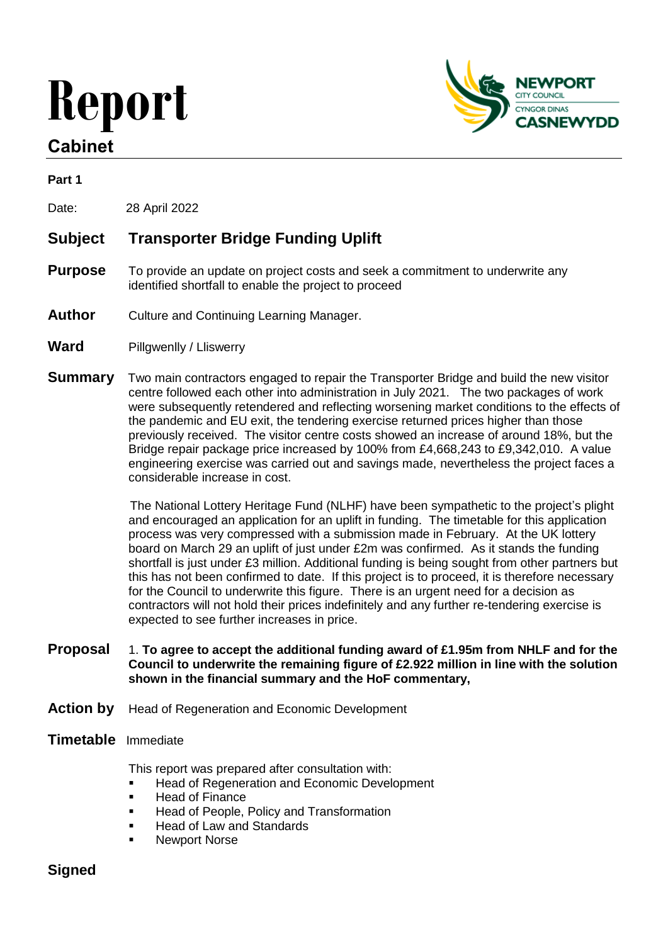# **Report**

# **Cabinet**



#### **Part 1**

Date: 28 April 2022

# **Subject Transporter Bridge Funding Uplift**

- **Purpose** To provide an update on project costs and seek a commitment to underwrite any identified shortfall to enable the project to proceed
- **Author** Culture and Continuing Learning Manager.
- **Ward** Pillgwenlly / Lliswerry
- **Summary** Two main contractors engaged to repair the Transporter Bridge and build the new visitor centre followed each other into administration in July 2021. The two packages of work were subsequently retendered and reflecting worsening market conditions to the effects of the pandemic and EU exit, the tendering exercise returned prices higher than those previously received. The visitor centre costs showed an increase of around 18%, but the Bridge repair package price increased by 100% from £4,668,243 to £9,342,010. A value engineering exercise was carried out and savings made, nevertheless the project faces a considerable increase in cost.

 The National Lottery Heritage Fund (NLHF) have been sympathetic to the project's plight and encouraged an application for an uplift in funding. The timetable for this application process was very compressed with a submission made in February. At the UK lottery board on March 29 an uplift of just under £2m was confirmed. As it stands the funding shortfall is just under £3 million. Additional funding is being sought from other partners but this has not been confirmed to date. If this project is to proceed, it is therefore necessary for the Council to underwrite this figure. There is an urgent need for a decision as contractors will not hold their prices indefinitely and any further re-tendering exercise is expected to see further increases in price.

- **Proposal** 1. **To agree to accept the additional funding award of £1.95m from NHLF and for the Council to underwrite the remaining figure of £2.922 million in line with the solution shown in the financial summary and the HoF commentary,**
- **Action by** Head of Regeneration and Economic Development

#### **Timetable** Immediate

This report was prepared after consultation with:

- **Head of Regeneration and Economic Development**
- **Head of Finance**
- Head of People, Policy and Transformation
- Head of Law and Standards
- Newport Norse

# **Signed**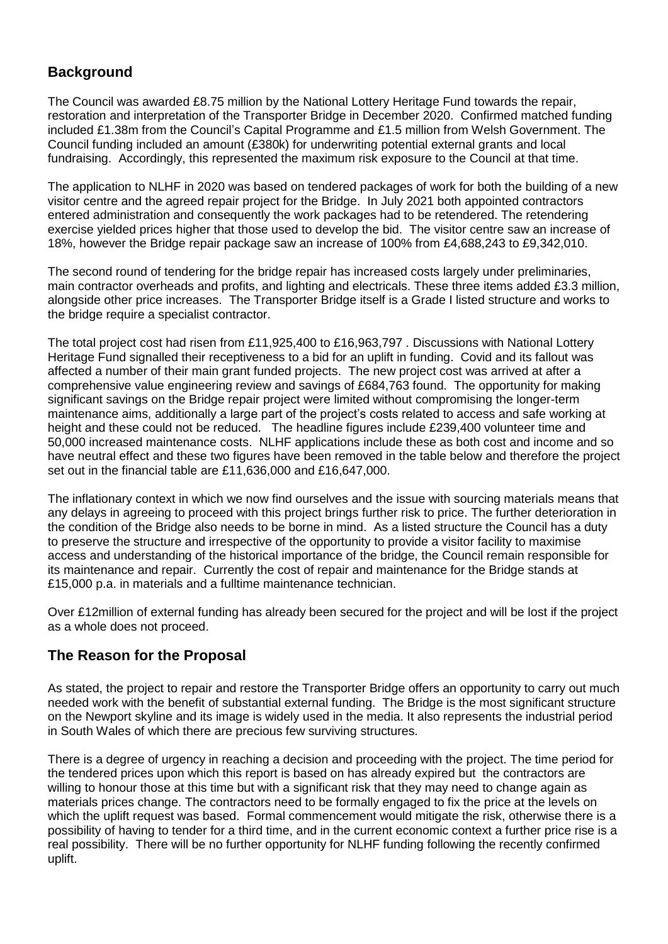# **Background**

The Council was awarded £8.75 million by the National Lottery Heritage Fund towards the repair, restoration and interpretation of the Transporter Bridge in December 2020. Confirmed matched funding included £1.38m from the Council's Capital Programme and £1.5 million from Welsh Government. The Council funding included an amount (£380k) for underwriting potential external grants and local fundraising. Accordingly, this represented the maximum risk exposure to the Council at that time.

The application to NLHF in 2020 was based on tendered packages of work for both the building of a new visitor centre and the agreed repair project for the Bridge. In July 2021 both appointed contractors entered administration and consequently the work packages had to be retendered. The retendering exercise yielded prices higher that those used to develop the bid. The visitor centre saw an increase of 18%, however the Bridge repair package saw an increase of 100% from £4,688,243 to £9,342,010.

The second round of tendering for the bridge repair has increased costs largely under preliminaries, main contractor overheads and profits, and lighting and electricals. These three items added £3.3 million, alongside other price increases. The Transporter Bridge itself is a Grade I listed structure and works to the bridge require a specialist contractor.

The total project cost had risen from £11,925,400 to £16,963,797 . Discussions with National Lottery Heritage Fund signalled their receptiveness to a bid for an uplift in funding. Covid and its fallout was affected a number of their main grant funded projects. The new project cost was arrived at after a comprehensive value engineering review and savings of £684,763 found. The opportunity for making significant savings on the Bridge repair project were limited without compromising the longer-term maintenance aims, additionally a large part of the project's costs related to access and safe working at height and these could not be reduced. The headline figures include £239,400 volunteer time and 50,000 increased maintenance costs. NLHF applications include these as both cost and income and so have neutral effect and these two figures have been removed in the table below and therefore the project set out in the financial table are £11,636,000 and £16,647,000.

The inflationary context in which we now find ourselves and the issue with sourcing materials means that any delays in agreeing to proceed with this project brings further risk to price. The further deterioration in the condition of the Bridge also needs to be borne in mind. As a listed structure the Council has a duty to preserve the structure and irrespective of the opportunity to provide a visitor facility to maximise access and understanding of the historical importance of the bridge, the Council remain responsible for its maintenance and repair. Currently the cost of repair and maintenance for the Bridge stands at £15,000 p.a. in materials and a fulltime maintenance technician.

Over £12million of external funding has already been secured for the project and will be lost if the project as a whole does not proceed.

# **The Reason for the Proposal**

As stated, the project to repair and restore the Transporter Bridge offers an opportunity to carry out much needed work with the benefit of substantial external funding. The Bridge is the most significant structure on the Newport skyline and its image is widely used in the media. It also represents the industrial period in South Wales of which there are precious few surviving structures.

There is a degree of urgency in reaching a decision and proceeding with the project. The time period for the tendered prices upon which this report is based on has already expired but the contractors are willing to honour those at this time but with a significant risk that they may need to change again as materials prices change. The contractors need to be formally engaged to fix the price at the levels on which the uplift request was based. Formal commencement would mitigate the risk, otherwise there is a possibility of having to tender for a third time, and in the current economic context a further price rise is a real possibility. There will be no further opportunity for NLHF funding following the recently confirmed uplift.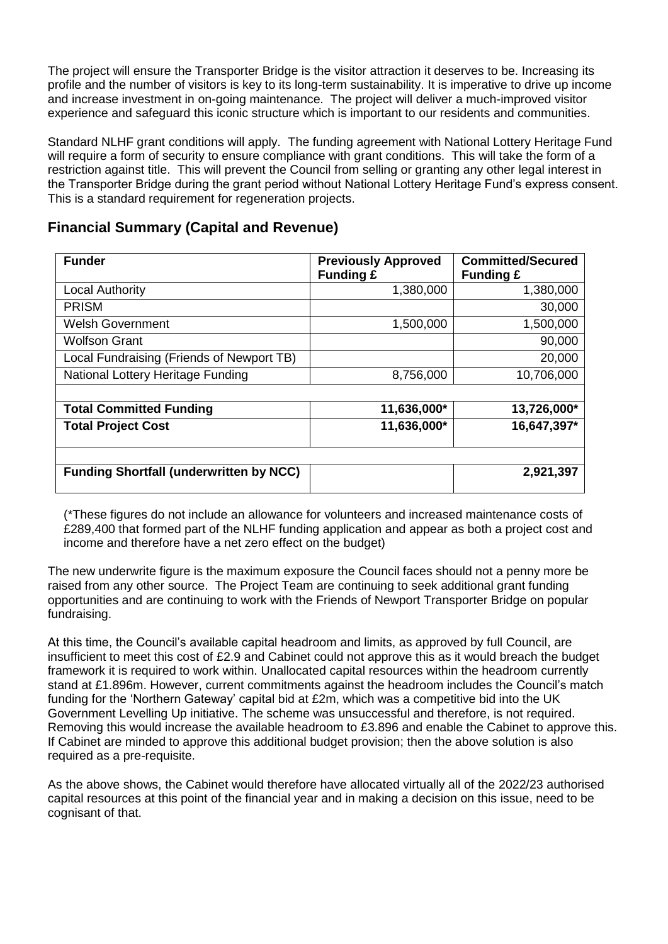The project will ensure the Transporter Bridge is the visitor attraction it deserves to be. Increasing its profile and the number of visitors is key to its long-term sustainability. It is imperative to drive up income and increase investment in on-going maintenance. The project will deliver a much-improved visitor experience and safeguard this iconic structure which is important to our residents and communities.

Standard NLHF grant conditions will apply. The funding agreement with National Lottery Heritage Fund will require a form of security to ensure compliance with grant conditions. This will take the form of a restriction against title. This will prevent the Council from selling or granting any other legal interest in the Transporter Bridge during the grant period without National Lottery Heritage Fund's express consent. This is a standard requirement for regeneration projects.

# **Financial Summary (Capital and Revenue)**

| <b>Funder</b>                                  | <b>Previously Approved</b><br><b>Funding £</b> | <b>Committed/Secured</b><br><b>Funding £</b> |
|------------------------------------------------|------------------------------------------------|----------------------------------------------|
| <b>Local Authority</b>                         | 1,380,000                                      | 1,380,000                                    |
| <b>PRISM</b>                                   |                                                | 30,000                                       |
| <b>Welsh Government</b>                        | 1,500,000                                      | 1,500,000                                    |
| <b>Wolfson Grant</b>                           |                                                | 90,000                                       |
| Local Fundraising (Friends of Newport TB)      |                                                | 20,000                                       |
| National Lottery Heritage Funding              | 8,756,000                                      | 10,706,000                                   |
|                                                |                                                |                                              |
| <b>Total Committed Funding</b>                 | 11,636,000*                                    | 13,726,000*                                  |
| <b>Total Project Cost</b>                      | 11,636,000*                                    | 16,647,397*                                  |
|                                                |                                                |                                              |
| <b>Funding Shortfall (underwritten by NCC)</b> |                                                | 2,921,397                                    |

(\*These figures do not include an allowance for volunteers and increased maintenance costs of £289,400 that formed part of the NLHF funding application and appear as both a project cost and income and therefore have a net zero effect on the budget)

The new underwrite figure is the maximum exposure the Council faces should not a penny more be raised from any other source. The Project Team are continuing to seek additional grant funding opportunities and are continuing to work with the Friends of Newport Transporter Bridge on popular fundraising.

At this time, the Council's available capital headroom and limits, as approved by full Council, are insufficient to meet this cost of £2.9 and Cabinet could not approve this as it would breach the budget framework it is required to work within. Unallocated capital resources within the headroom currently stand at £1.896m. However, current commitments against the headroom includes the Council's match funding for the 'Northern Gateway' capital bid at £2m, which was a competitive bid into the UK Government Levelling Up initiative. The scheme was unsuccessful and therefore, is not required. Removing this would increase the available headroom to £3.896 and enable the Cabinet to approve this. If Cabinet are minded to approve this additional budget provision; then the above solution is also required as a pre-requisite.

As the above shows, the Cabinet would therefore have allocated virtually all of the 2022/23 authorised capital resources at this point of the financial year and in making a decision on this issue, need to be cognisant of that.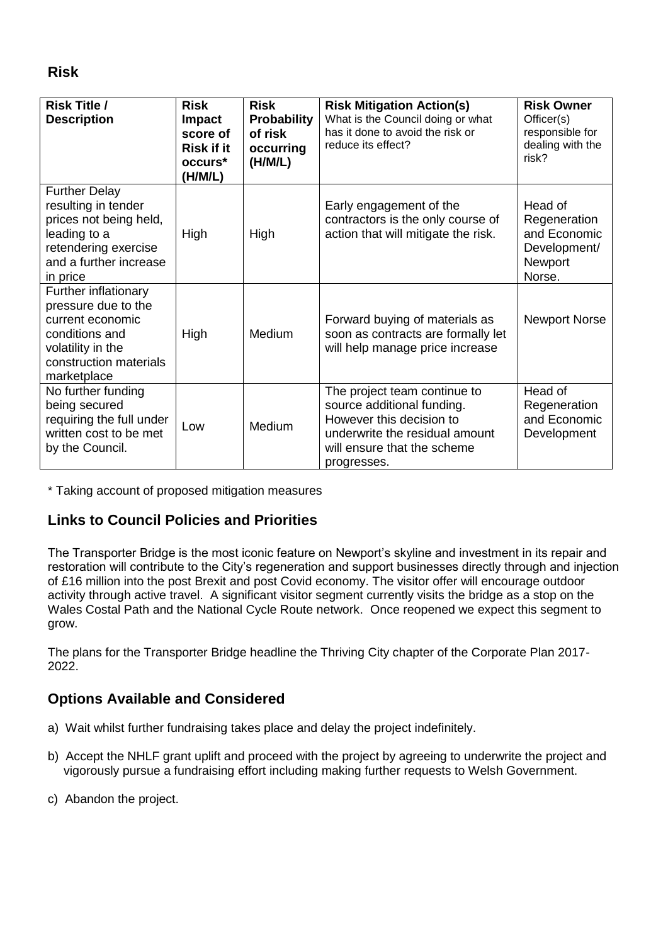**Risk**

| <b>Risk Title /</b><br><b>Description</b>                                                                                                           | <b>Risk</b><br><b>Impact</b><br>score of<br><b>Risk if it</b><br>occurs <sup>*</sup><br>(H/M/L) | <b>Risk</b><br><b>Probability</b><br>of risk<br>occurring<br>(H/M/L) | <b>Risk Mitigation Action(s)</b><br>What is the Council doing or what<br>has it done to avoid the risk or<br>reduce its effect?                                        | <b>Risk Owner</b><br>Officer(s)<br>responsible for<br>dealing with the<br>risk? |
|-----------------------------------------------------------------------------------------------------------------------------------------------------|-------------------------------------------------------------------------------------------------|----------------------------------------------------------------------|------------------------------------------------------------------------------------------------------------------------------------------------------------------------|---------------------------------------------------------------------------------|
| <b>Further Delay</b><br>resulting in tender<br>prices not being held,<br>leading to a<br>retendering exercise<br>and a further increase<br>in price | High                                                                                            | High                                                                 | Early engagement of the<br>contractors is the only course of<br>action that will mitigate the risk.                                                                    | Head of<br>Regeneration<br>and Economic<br>Development/<br>Newport<br>Norse.    |
| Further inflationary<br>pressure due to the<br>current economic<br>conditions and<br>volatility in the<br>construction materials<br>marketplace     | High                                                                                            | Medium                                                               | Forward buying of materials as<br>soon as contracts are formally let<br>will help manage price increase                                                                | <b>Newport Norse</b>                                                            |
| No further funding<br>being secured<br>requiring the full under<br>written cost to be met<br>by the Council.                                        | Low                                                                                             | Medium                                                               | The project team continue to<br>source additional funding.<br>However this decision to<br>underwrite the residual amount<br>will ensure that the scheme<br>progresses. | Head of<br>Regeneration<br>and Economic<br>Development                          |

\* Taking account of proposed mitigation measures

# **Links to Council Policies and Priorities**

The Transporter Bridge is the most iconic feature on Newport's skyline and investment in its repair and restoration will contribute to the City's regeneration and support businesses directly through and injection of £16 million into the post Brexit and post Covid economy. The visitor offer will encourage outdoor activity through active travel. A significant visitor segment currently visits the bridge as a stop on the Wales Costal Path and the National Cycle Route network. Once reopened we expect this segment to grow.

The plans for the Transporter Bridge headline the Thriving City chapter of the Corporate Plan 2017- 2022.

# **Options Available and Considered**

- a) Wait whilst further fundraising takes place and delay the project indefinitely.
- b) Accept the NHLF grant uplift and proceed with the project by agreeing to underwrite the project and vigorously pursue a fundraising effort including making further requests to Welsh Government.
- c) Abandon the project.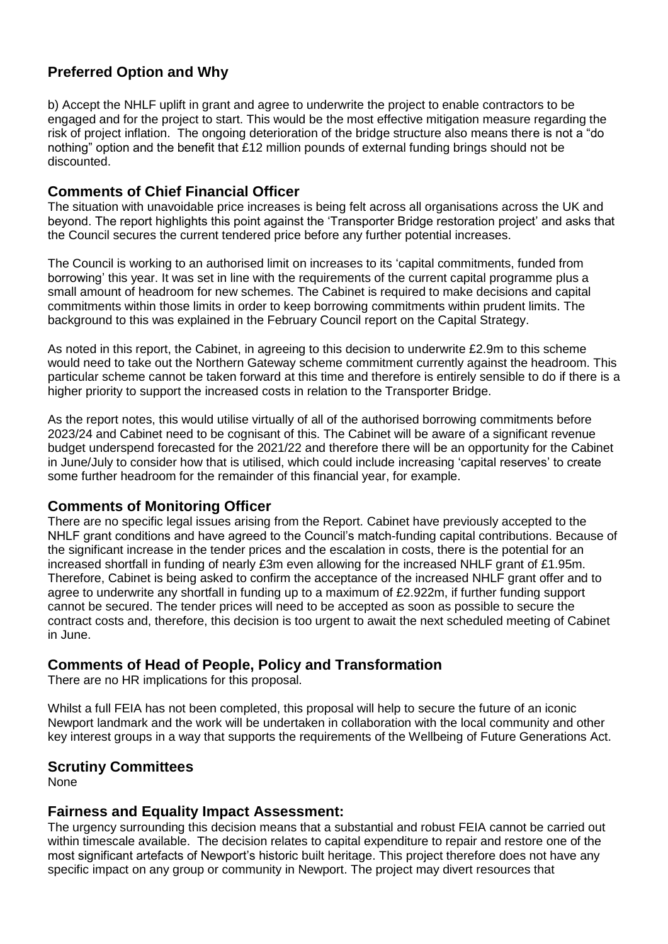# **Preferred Option and Why**

b) Accept the NHLF uplift in grant and agree to underwrite the project to enable contractors to be engaged and for the project to start. This would be the most effective mitigation measure regarding the risk of project inflation. The ongoing deterioration of the bridge structure also means there is not a "do nothing" option and the benefit that £12 million pounds of external funding brings should not be discounted.

#### **Comments of Chief Financial Officer**

The situation with unavoidable price increases is being felt across all organisations across the UK and beyond. The report highlights this point against the 'Transporter Bridge restoration project' and asks that the Council secures the current tendered price before any further potential increases.

The Council is working to an authorised limit on increases to its 'capital commitments, funded from borrowing' this year. It was set in line with the requirements of the current capital programme plus a small amount of headroom for new schemes. The Cabinet is required to make decisions and capital commitments within those limits in order to keep borrowing commitments within prudent limits. The background to this was explained in the February Council report on the Capital Strategy.

As noted in this report, the Cabinet, in agreeing to this decision to underwrite £2.9m to this scheme would need to take out the Northern Gateway scheme commitment currently against the headroom. This particular scheme cannot be taken forward at this time and therefore is entirely sensible to do if there is a higher priority to support the increased costs in relation to the Transporter Bridge.

As the report notes, this would utilise virtually of all of the authorised borrowing commitments before 2023/24 and Cabinet need to be cognisant of this. The Cabinet will be aware of a significant revenue budget underspend forecasted for the 2021/22 and therefore there will be an opportunity for the Cabinet in June/July to consider how that is utilised, which could include increasing 'capital reserves' to create some further headroom for the remainder of this financial year, for example.

#### **Comments of Monitoring Officer**

There are no specific legal issues arising from the Report. Cabinet have previously accepted to the NHLF grant conditions and have agreed to the Council's match-funding capital contributions. Because of the significant increase in the tender prices and the escalation in costs, there is the potential for an increased shortfall in funding of nearly £3m even allowing for the increased NHLF grant of £1.95m. Therefore, Cabinet is being asked to confirm the acceptance of the increased NHLF grant offer and to agree to underwrite any shortfall in funding up to a maximum of £2.922m, if further funding support cannot be secured. The tender prices will need to be accepted as soon as possible to secure the contract costs and, therefore, this decision is too urgent to await the next scheduled meeting of Cabinet in June.

#### **Comments of Head of People, Policy and Transformation**

There are no HR implications for this proposal.

Whilst a full FEIA has not been completed, this proposal will help to secure the future of an iconic Newport landmark and the work will be undertaken in collaboration with the local community and other key interest groups in a way that supports the requirements of the Wellbeing of Future Generations Act.

#### **Scrutiny Committees**

None

#### **Fairness and Equality Impact Assessment:**

The urgency surrounding this decision means that a substantial and robust FEIA cannot be carried out within timescale available. The decision relates to capital expenditure to repair and restore one of the most significant artefacts of Newport's historic built heritage. This project therefore does not have any specific impact on any group or community in Newport. The project may divert resources that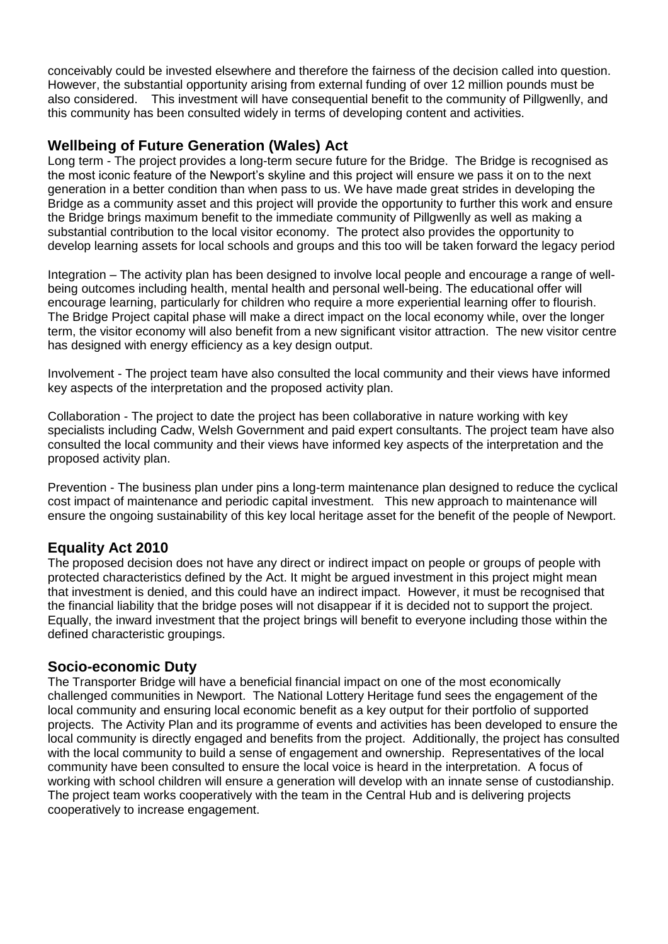conceivably could be invested elsewhere and therefore the fairness of the decision called into question. However, the substantial opportunity arising from external funding of over 12 million pounds must be also considered. This investment will have consequential benefit to the community of Pillgwenlly, and this community has been consulted widely in terms of developing content and activities.

# **Wellbeing of Future Generation (Wales) Act**

Long term - The project provides a long-term secure future for the Bridge. The Bridge is recognised as the most iconic feature of the Newport's skyline and this project will ensure we pass it on to the next generation in a better condition than when pass to us. We have made great strides in developing the Bridge as a community asset and this project will provide the opportunity to further this work and ensure the Bridge brings maximum benefit to the immediate community of Pillgwenlly as well as making a substantial contribution to the local visitor economy. The protect also provides the opportunity to develop learning assets for local schools and groups and this too will be taken forward the legacy period

Integration – The activity plan has been designed to involve local people and encourage a range of wellbeing outcomes including health, mental health and personal well-being. The educational offer will encourage learning, particularly for children who require a more experiential learning offer to flourish. The Bridge Project capital phase will make a direct impact on the local economy while, over the longer term, the visitor economy will also benefit from a new significant visitor attraction. The new visitor centre has designed with energy efficiency as a key design output.

Involvement - The project team have also consulted the local community and their views have informed key aspects of the interpretation and the proposed activity plan.

Collaboration - The project to date the project has been collaborative in nature working with key specialists including Cadw, Welsh Government and paid expert consultants. The project team have also consulted the local community and their views have informed key aspects of the interpretation and the proposed activity plan.

Prevention - The business plan under pins a long-term maintenance plan designed to reduce the cyclical cost impact of maintenance and periodic capital investment. This new approach to maintenance will ensure the ongoing sustainability of this key local heritage asset for the benefit of the people of Newport.

#### **Equality Act 2010**

The proposed decision does not have any direct or indirect impact on people or groups of people with protected characteristics defined by the Act. It might be argued investment in this project might mean that investment is denied, and this could have an indirect impact. However, it must be recognised that the financial liability that the bridge poses will not disappear if it is decided not to support the project. Equally, the inward investment that the project brings will benefit to everyone including those within the defined characteristic groupings.

#### **Socio-economic Duty**

The Transporter Bridge will have a beneficial financial impact on one of the most economically challenged communities in Newport. The National Lottery Heritage fund sees the engagement of the local community and ensuring local economic benefit as a key output for their portfolio of supported projects. The Activity Plan and its programme of events and activities has been developed to ensure the local community is directly engaged and benefits from the project. Additionally, the project has consulted with the local community to build a sense of engagement and ownership. Representatives of the local community have been consulted to ensure the local voice is heard in the interpretation. A focus of working with school children will ensure a generation will develop with an innate sense of custodianship. The project team works cooperatively with the team in the Central Hub and is delivering projects cooperatively to increase engagement.